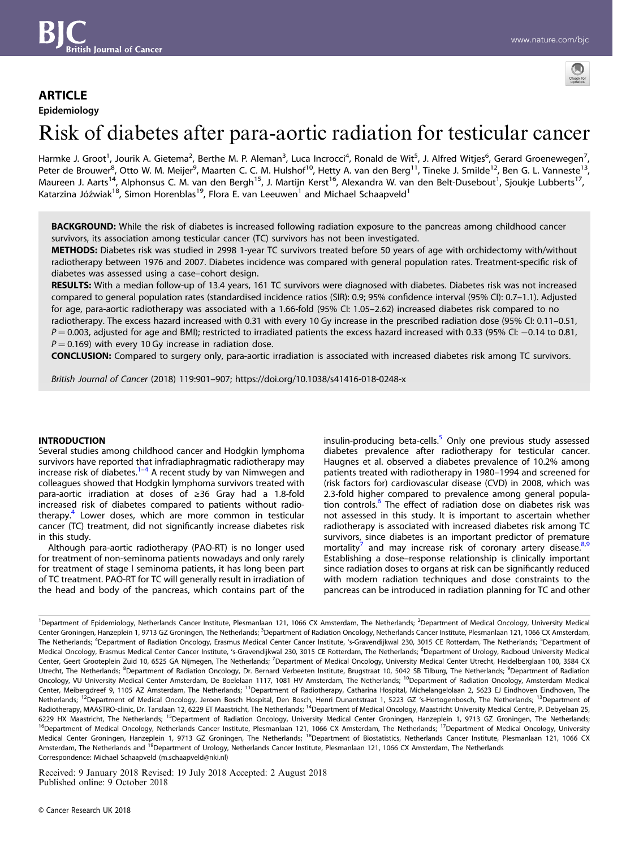## **ARTICLE**

Epidemiology



# Risk of diabetes after para-aortic radiation for testicular cancer

Harmke J. Groot<sup>1</sup>, Jourik A. Gietema<sup>2</sup>, Berthe M. P. Aleman<sup>3</sup>, Luca Incrocci<sup>4</sup>, Ronald de Wit<sup>5</sup>, J. Alfred Witjes<sup>6</sup>, Gerard Groenewegen<sup>7</sup>, Peter de Brouwer<sup>8</sup>, Otto W. M. Meijer<sup>9</sup>, Maarten C. C. M. Hulshof<sup>10</sup>, Hetty A. van den Berg<sup>11</sup>, Tineke J. Smilde<sup>12</sup>, Ben G. L. Vanneste<sup>13</sup>, Maureen J. Aarts<sup>14</sup>, Alphonsus C. M. van den Bergh<sup>15</sup>, J. Martijn Kerst<sup>16</sup>, Alexandra W. van den Belt-Dusebout<sup>1</sup>, Sjoukje Lubberts<sup>17</sup>, Katarzina Jóźwiak<sup>18</sup>, Simon Horenblas<sup>19</sup>, Flora E. van Leeuwen<sup>1</sup> and Michael Schaapveld<sup>1</sup>

BACKGROUND: While the risk of diabetes is increased following radiation exposure to the pancreas among childhood cancer survivors, its association among testicular cancer (TC) survivors has not been investigated.

METHODS: Diabetes risk was studied in 2998 1-year TC survivors treated before 50 years of age with orchidectomy with/without radiotherapy between 1976 and 2007. Diabetes incidence was compared with general population rates. Treatment-specific risk of diabetes was assessed using a case–cohort design.

RESULTS: With a median follow-up of 13.4 years, 161 TC survivors were diagnosed with diabetes. Diabetes risk was not increased compared to general population rates (standardised incidence ratios (SIR): 0.9; 95% confidence interval (95% CI): 0.7–1.1). Adjusted for age, para-aortic radiotherapy was associated with a 1.66-fold (95% CI: 1.05–2.62) increased diabetes risk compared to no radiotherapy. The excess hazard increased with 0.31 with every 10 Gy increase in the prescribed radiation dose (95% CI: 0.11–0.51, P = 0.003, adjusted for age and BMI); restricted to irradiated patients the excess hazard increased with 0.33 (95% CI: −0.14 to 0.81,  $P = 0.169$ ) with every 10 Gy increase in radiation dose.

CONCLUSION: Compared to surgery only, para-aortic irradiation is associated with increased diabetes risk among TC survivors.

British Journal of Cancer (2018) 119:901–907; https://doi.org/10.1038/s41416-018-0248-x

## INTRODUCTION

Several studies among childhood cancer and Hodgkin lymphoma survivors have reported that infradiaphragmatic radiotherapy may increase risk of diabetes. $1-4$  $1-4$  $1-4$  A recent study by van Nimwegen and colleagues showed that Hodgkin lymphoma survivors treated with para-aortic irradiation at doses of ≥36 Gray had a 1.8-fold increased risk of diabetes compared to patients without radiotherapy. $4$  Lower doses, which are more common in testicular cancer (TC) treatment, did not significantly increase diabetes risk in this study.

Although para-aortic radiotherapy (PAO-RT) is no longer used for treatment of non-seminoma patients nowadays and only rarely for treatment of stage I seminoma patients, it has long been part of TC treatment. PAO-RT for TC will generally result in irradiation of the head and body of the pancreas, which contains part of the insulin-producing beta-cells. $<sup>5</sup>$  Only one previous study assessed</sup> diabetes prevalence after radiotherapy for testicular cancer. Haugnes et al. observed a diabetes prevalence of 10.2% among patients treated with radiotherapy in 1980–1994 and screened for (risk factors for) cardiovascular disease (CVD) in 2008, which was 2.3-fold higher compared to prevalence among general popula-tion controls.<sup>[6](#page-6-0)</sup> The effect of radiation dose on diabetes risk was not assessed in this study. It is important to ascertain whether radiotherapy is associated with increased diabetes risk among TC survivors, since diabetes is an important predictor of premature mortality<sup>'</sup> and may increase risk of coronary artery disease.<sup>[8](#page-6-0),[9](#page-6-0)</sup> Establishing a dose–response relationship is clinically important since radiation doses to organs at risk can be significantly reduced with modern radiation techniques and dose constraints to the pancreas can be introduced in radiation planning for TC and other

Received: 9 January 2018 Revised: 19 July 2018 Accepted: 2 August 2018 Published online: 9 October 2018

<sup>&</sup>lt;sup>1</sup>Department of Epidemiology, Netherlands Cancer Institute, Plesmanlaan 121, 1066 CX Amsterdam, The Netherlands; <sup>2</sup>Department of Medical Oncology, University Medical Center Groningen, Hanzeplein 1, 9713 GZ Groningen, The Netherlands; <sup>3</sup>Department of Radiation Oncology, Netherlands Cancer Institute, Plesmanlaan 121, 1066 CX Amsterdam, The Netherlands; <sup>4</sup>Department of Radiation Oncology, Erasmus Medical Center Cancer Institute, 's-Gravendijkwal 230, 3015 CE Rotterdam, The Netherlands; <sup>5</sup>Department of Medical Oncology, Erasmus Medical Center Cancer Institute, 's-Gravendijkwal 230, 3015 CE Rotterdam, The Netherlands; <sup>6</sup>Department of Urology, Radboud University Medical Center, Geert Grooteplein Zuid 10, 6525 GA Nijmegen, The Netherlands; <sup>7</sup>Department of Medical Oncology, University Medical Center Utrecht, Heidelberglaan 100, 3584 CX Utrecht, The Netherlands; <sup>8</sup>Department of Radiation Oncology, Dr. Bernard Verbeeten Institute, Brugstraat 10, 5042 SB Tilburg, The Netherlands; <sup>9</sup>Department of Radiation Oncology, VU University Medical Center Amsterdam, De Boelelaan 1117, 1081 HV Amsterdam, The Netherlands; <sup>10</sup>Department of Radiation Oncology, Amsterdam Medical Center, Meibergdreef 9, 1105 AZ Amsterdam, The Netherlands; <sup>11</sup>Department of Radiotherapy, Catharina Hospital, Michelangelolaan 2, 5623 EJ Eindhoven Eindhoven, The Netherlands; <sup>12</sup>Department of Medical Oncology, Jeroen Bosch Hospital, Den Bosch, Henri Dunantstraat 1, 5223 GZ 's-Hertogenbosch, The Netherlands; <sup>13</sup>Department of Radiotherapy, MAASTRO-clinic, Dr. Tanslaan 12, 6229 ET Maastricht, The Netherlands; <sup>14</sup>Department of Medical Oncology, Maastricht University Medical Centre, P. Debyelaan 25, 6229 HX Maastricht, The Netherlands; <sup>15</sup>Department of Radiation Oncology, University Medical Center Groningen, Hanzeplein 1, 9713 GZ Groningen, The Netherlands; <sup>16</sup>Department of Medical Oncology, Netherlands Cancer Institute, Plesmanlaan 121, 1066 CX Amsterdam, The Netherlands; <sup>17</sup>Department of Medical Oncology, University Medical Center Groningen, Hanzeplein 1, 9713 GZ Groningen, The Netherlands; <sup>18</sup>Department of Biostatistics, Netherlands Cancer Institute, Plesmanlaan 121, 1066 CX Amsterdam, The Netherlands and <sup>19</sup>Department of Urology, Netherlands Cancer Institute, Plesmanlaan 121, 1066 CX Amsterdam, The Netherlands Correspondence: Michael Schaapveld [\(m.schaapveld@nki.nl\)](mailto:m.schaapveld@nki.nl)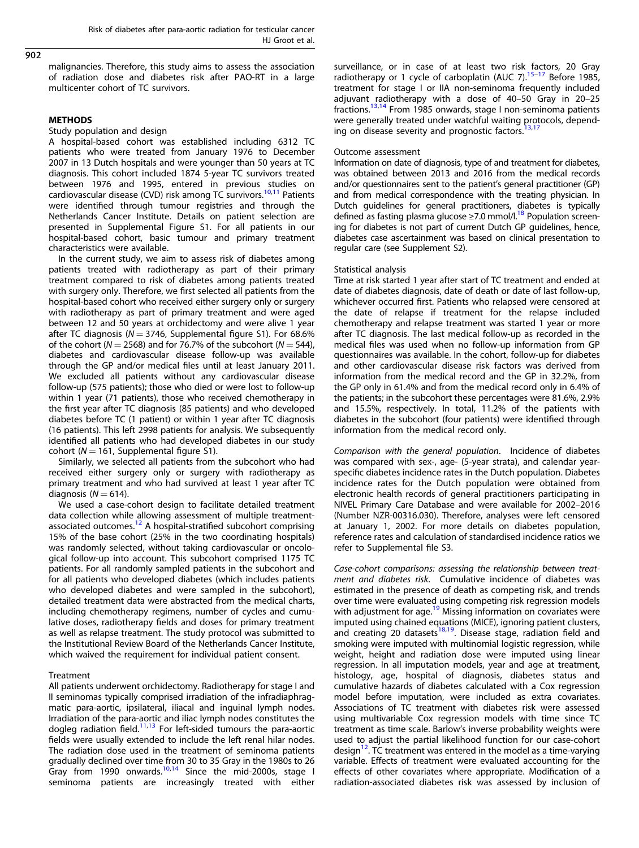902

malignancies. Therefore, this study aims to assess the association of radiation dose and diabetes risk after PAO-RT in a large multicenter cohort of TC survivors.

## METHODS

Study population and design

A hospital-based cohort was established including 6312 TC patients who were treated from January 1976 to December 2007 in 13 Dutch hospitals and were younger than 50 years at TC diagnosis. This cohort included 1874 5-year TC survivors treated between 1976 and 1995, entered in previous studies on cardiovascular disease (CVD) risk among TC survivors.<sup>[10,11](#page-6-0)</sup> Patients were identified through tumour registries and through the Netherlands Cancer Institute. Details on patient selection are presented in Supplemental Figure S1. For all patients in our hospital-based cohort, basic tumour and primary treatment characteristics were available.

In the current study, we aim to assess risk of diabetes among patients treated with radiotherapy as part of their primary treatment compared to risk of diabetes among patients treated with surgery only. Therefore, we first selected all patients from the hospital-based cohort who received either surgery only or surgery with radiotherapy as part of primary treatment and were aged between 12 and 50 years at orchidectomy and were alive 1 year after TC diagnosis ( $N = 3746$ , Supplemental figure S1). For 68.6% of the cohort ( $N = 2568$ ) and for 76.7% of the subcohort ( $N = 544$ ), diabetes and cardiovascular disease follow-up was available through the GP and/or medical files until at least January 2011. We excluded all patients without any cardiovascular disease follow-up (575 patients); those who died or were lost to follow-up within 1 year (71 patients), those who received chemotherapy in the first year after TC diagnosis (85 patients) and who developed diabetes before TC (1 patient) or within 1 year after TC diagnosis (16 patients). This left 2998 patients for analysis. We subsequently identified all patients who had developed diabetes in our study cohort ( $N = 161$ , Supplemental figure S1).

Similarly, we selected all patients from the subcohort who had received either surgery only or surgery with radiotherapy as primary treatment and who had survived at least 1 year after TC diagnosis  $(N = 614)$ .

We used a case-cohort design to facilitate detailed treatment data collection while allowing assessment of multiple treatment-associated outcomes.<sup>[12](#page-6-0)</sup> A hospital-stratified subcohort comprising 15% of the base cohort (25% in the two coordinating hospitals) was randomly selected, without taking cardiovascular or oncological follow-up into account. This subcohort comprised 1175 TC patients. For all randomly sampled patients in the subcohort and for all patients who developed diabetes (which includes patients who developed diabetes and were sampled in the subcohort), detailed treatment data were abstracted from the medical charts, including chemotherapy regimens, number of cycles and cumulative doses, radiotherapy fields and doses for primary treatment as well as relapse treatment. The study protocol was submitted to the Institutional Review Board of the Netherlands Cancer Institute, which waived the requirement for individual patient consent.

## Treatment

All patients underwent orchidectomy. Radiotherapy for stage I and II seminomas typically comprised irradiation of the infradiaphragmatic para-aortic, ipsilateral, iliacal and inguinal lymph nodes. Irradiation of the para-aortic and iliac lymph nodes constitutes the  $d$ -dogleg radiation field.<sup>[11,13](#page-6-0)</sup> For left-sided tumours the para-aortic fields were usually extended to include the left renal hilar nodes. The radiation dose used in the treatment of seminoma patients gradually declined over time from 30 to 35 Gray in the 1980s to 26 Gray from 1990 onwards.<sup>10,[14](#page-6-0)</sup> Since the mid-2000s, stage I seminoma patients are increasingly treated with either surveillance, or in case of at least two risk factors, 20 Gray radiotherapy or 1 cycle of carboplatin (AUC 7).<sup>[15](#page-6-0)–[17](#page-6-0)</sup> Before 1985, treatment for stage I or IIA non-seminoma frequently included adjuvant radiotherapy with a dose of 40–50 Gray in 20–25 fractions[.13,14](#page-6-0) From 1985 onwards, stage I non-seminoma patients were generally treated under watchful waiting protocols, depending on disease severity and prognostic factors.<sup>1</sup>

#### Outcome assessment

Information on date of diagnosis, type of and treatment for diabetes, was obtained between 2013 and 2016 from the medical records and/or questionnaires sent to the patient's general practitioner (GP) and from medical correspondence with the treating physician. In Dutch guidelines for general practitioners, diabetes is typically defined as fasting plasma glucose  $\geq$ 7.0 mmol/l.<sup>18</sup> Population screening for diabetes is not part of current Dutch GP guidelines, hence, diabetes case ascertainment was based on clinical presentation to regular care (see Supplement S2).

## Statistical analysis

Time at risk started 1 year after start of TC treatment and ended at date of diabetes diagnosis, date of death or date of last follow-up, whichever occurred first. Patients who relapsed were censored at the date of relapse if treatment for the relapse included chemotherapy and relapse treatment was started 1 year or more after TC diagnosis. The last medical follow-up as recorded in the medical files was used when no follow-up information from GP questionnaires was available. In the cohort, follow-up for diabetes and other cardiovascular disease risk factors was derived from information from the medical record and the GP in 32.2%, from the GP only in 61.4% and from the medical record only in 6.4% of the patients; in the subcohort these percentages were 81.6%, 2.9% and 15.5%, respectively. In total, 11.2% of the patients with diabetes in the subcohort (four patients) were identified through information from the medical record only.

Comparison with the general population. Incidence of diabetes was compared with sex-, age- (5-year strata), and calendar yearspecific diabetes incidence rates in the Dutch population. Diabetes incidence rates for the Dutch population were obtained from electronic health records of general practitioners participating in NIVEL Primary Care Database and were available for 2002–2016 (Number NZR-00316.030). Therefore, analyses were left censored at January 1, 2002. For more details on diabetes population, reference rates and calculation of standardised incidence ratios we refer to Supplemental file S3.

Case-cohort comparisons: assessing the relationship between treatment and diabetes risk. Cumulative incidence of diabetes was estimated in the presence of death as competing risk, and trends over time were evaluated using competing risk regression models with adjustment for age.<sup>[19](#page-6-0)</sup> Missing information on covariates were imputed using chained equations (MICE), ignoring patient clusters, and creating 20 datasets  $18,19$  $18,19$  $18,19$ . Disease stage, radiation field and smoking were imputed with multinomial logistic regression, while weight, height and radiation dose were imputed using linear regression. In all imputation models, year and age at treatment, histology, age, hospital of diagnosis, diabetes status and cumulative hazards of diabetes calculated with a Cox regression model before imputation, were included as extra covariates. Associations of TC treatment with diabetes risk were assessed using multivariable Cox regression models with time since TC treatment as time scale. Barlow's inverse probability weights were used to adjust the partial likelihood function for our case-cohort design<sup>12</sup>. TC treatment was entered in the model as a time-varying variable. Effects of treatment were evaluated accounting for the effects of other covariates where appropriate. Modification of a radiation-associated diabetes risk was assessed by inclusion of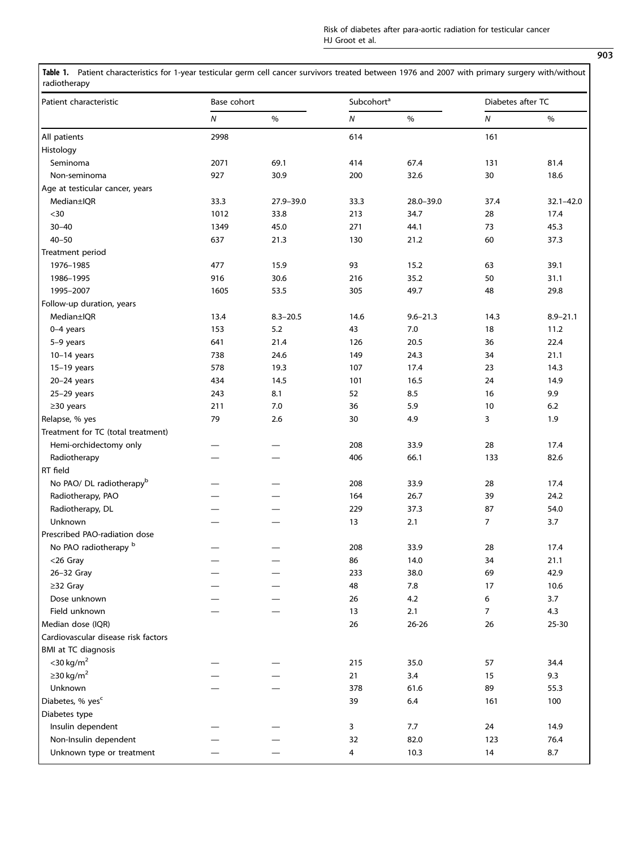<span id="page-2-0"></span>Table 1. Patient characteristics for 1-year testicular germ cell cancer survivors treated between 1976 and 2007 with primary surgery with/without radiotherapy

| Patient characteristic               | Base cohort |              | Subcohort <sup>a</sup> |              | Diabetes after TC |               |
|--------------------------------------|-------------|--------------|------------------------|--------------|-------------------|---------------|
|                                      | ${\cal N}$  | $\%$         | ${\cal N}$             | $\%$         | ${\cal N}$        | $\%$          |
| All patients                         | 2998        |              | 614                    |              | 161               |               |
| Histology                            |             |              |                        |              |                   |               |
| Seminoma                             | 2071        | 69.1         | 414                    | 67.4         | 131               | 81.4          |
| Non-seminoma                         | 927         | 30.9         | 200                    | 32.6         | 30                | 18.6          |
| Age at testicular cancer, years      |             |              |                        |              |                   |               |
| Median±IQR                           | 33.3        | 27.9-39.0    | 33.3                   | 28.0-39.0    | 37.4              | $32.1 - 42.0$ |
| $30$                                 | 1012        | 33.8         | 213                    | 34.7         | 28                | 17.4          |
| $30 - 40$                            | 1349        | 45.0         | 271                    | 44.1         | 73                | 45.3          |
| $40 - 50$                            | 637         | 21.3         | 130                    | 21.2         | 60                | 37.3          |
| Treatment period                     |             |              |                        |              |                   |               |
| 1976-1985                            | 477         | 15.9         | 93                     | 15.2         | 63                | 39.1          |
| 1986-1995                            | 916         | 30.6         | 216                    | 35.2         | 50                | 31.1          |
| 1995-2007                            | 1605        | 53.5         | 305                    | 49.7         | 48                | 29.8          |
| Follow-up duration, years            |             |              |                        |              |                   |               |
| Median±IQR                           | 13.4        | $8.3 - 20.5$ | 14.6                   | $9.6 - 21.3$ | 14.3              | $8.9 - 21.1$  |
| $0-4$ years                          | 153         | 5.2          | 43                     | 7.0          | 18                | 11.2          |
| 5-9 years                            | 641         | 21.4         | 126                    | 20.5         | 36                | 22.4          |
| $10-14$ years                        | 738         | 24.6         | 149                    | 24.3         | 34                | 21.1          |
| $15-19$ years                        | 578         | 19.3         | 107                    | 17.4         | 23                | 14.3          |
| $20-24$ years                        | 434         | 14.5         | 101                    | 16.5         | 24                | 14.9          |
| $25-29$ years                        | 243         | 8.1          | 52                     | 8.5          | 16                | 9.9           |
| $\geq$ 30 years                      | 211         | 7.0          | 36                     | 5.9          | 10                | 6.2           |
| Relapse, % yes                       | 79          | 2.6          | 30                     | 4.9          | 3                 | 1.9           |
| Treatment for TC (total treatment)   |             |              |                        |              |                   |               |
| Hemi-orchidectomy only               |             |              | 208                    | 33.9         | 28                | 17.4          |
| Radiotherapy                         |             |              | 406                    | 66.1         | 133               | 82.6          |
| RT field                             |             |              |                        |              |                   |               |
| No PAO/ DL radiotherapy <sup>b</sup> |             |              | 208                    | 33.9         | 28                | 17.4          |
| Radiotherapy, PAO                    |             |              | 164                    | 26.7         | 39                | 24.2          |
| Radiotherapy, DL                     |             |              | 229                    | 37.3         | 87                | 54.0          |
| Unknown                              |             |              | 13                     | 2.1          | 7                 | 3.7           |
| Prescribed PAO-radiation dose        |             |              |                        |              |                   |               |
| No PAO radiotherapy b                |             |              | 208                    | 33.9         | 28                | 17.4          |
| <26 Gray                             |             |              | 86                     | 14.0         | 34                | 21.1          |
| 26-32 Gray                           |             |              | 233                    | 38.0         | 69                | 42.9          |
| ≥32 Gray                             |             |              | 48                     | 7.8          | 17                | 10.6          |
| Dose unknown                         |             |              | 26                     | $4.2\,$      | 6                 | 3.7           |
| Field unknown                        |             |              | 13                     | 2.1          | 7                 | 4.3           |
| Median dose (IQR)                    |             |              | 26                     | $26 - 26$    | 26                | 25-30         |
| Cardiovascular disease risk factors  |             |              |                        |              |                   |               |
| <b>BMI</b> at TC diagnosis           |             |              |                        |              |                   |               |
| $<$ 30 kg/m <sup>2</sup>             |             |              | 215                    | 35.0         | 57                | 34.4          |
| $\geq$ 30 kg/m <sup>2</sup>          |             |              | 21                     | 3.4          | 15                | 9.3           |
| Unknown                              |             |              | 378                    | 61.6         | 89                | 55.3          |
| Diabetes, % yes <sup>c</sup>         |             |              | 39                     | 6.4          | 161               | 100           |
| Diabetes type                        |             |              |                        |              |                   |               |
| Insulin dependent                    |             |              | 3                      | 7.7          | 24                | 14.9          |
| Non-Insulin dependent                |             |              | 32                     | 82.0         | 123               | 76.4          |
| Unknown type or treatment            |             |              | 4                      | 10.3         | 14                | 8.7           |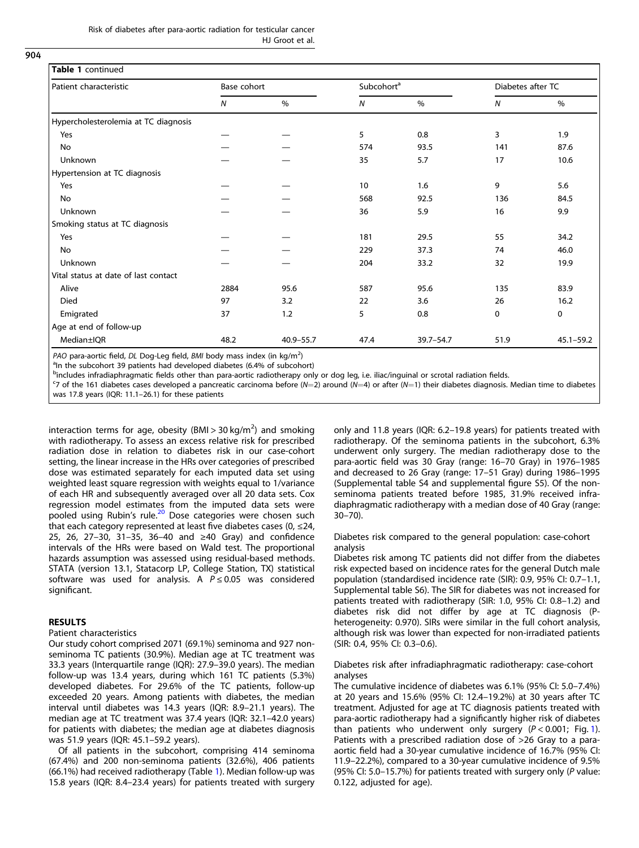904

| Patient characteristic               | Base cohort |           | Subcohort <sup>a</sup> |           | Diabetes after TC |               |
|--------------------------------------|-------------|-----------|------------------------|-----------|-------------------|---------------|
|                                      | N           | $\%$      | N                      | $\%$      | N                 | $\%$          |
| Hypercholesterolemia at TC diagnosis |             |           |                        |           |                   |               |
| Yes                                  |             |           | 5                      | 0.8       | 3                 | 1.9           |
| No                                   |             |           | 574                    | 93.5      | 141               | 87.6          |
| Unknown                              |             |           | 35                     | 5.7       | 17                | 10.6          |
| Hypertension at TC diagnosis         |             |           |                        |           |                   |               |
| Yes                                  |             |           | 10                     | 1.6       | 9                 | 5.6           |
| No                                   |             |           | 568                    | 92.5      | 136               | 84.5          |
| Unknown                              |             |           | 36                     | 5.9       | 16                | 9.9           |
| Smoking status at TC diagnosis       |             |           |                        |           |                   |               |
| Yes                                  |             |           | 181                    | 29.5      | 55                | 34.2          |
| No                                   |             |           | 229                    | 37.3      | 74                | 46.0          |
| Unknown                              |             |           | 204                    | 33.2      | 32                | 19.9          |
| Vital status at date of last contact |             |           |                        |           |                   |               |
| Alive                                | 2884        | 95.6      | 587                    | 95.6      | 135               | 83.9          |
| Died                                 | 97          | 3.2       | 22                     | 3.6       | 26                | 16.2          |
| Emigrated                            | 37          | 1.2       | 5                      | 0.8       | 0                 | 0             |
| Age at end of follow-up              |             |           |                        |           |                   |               |
| Median±IQR                           | 48.2        | 40.9-55.7 | 47.4                   | 39.7-54.7 | 51.9              | $45.1 - 59.2$ |

PAO para-aortic field, DL Dog-Leg field, BMI body mass index (in kg/m<sup>2</sup>)<br><sup>a</sup>lp the subsobert 39 patients had developed diabetes (6.4% of subsob

 $a$ <sup>a</sup>In the subcohort 39 patients had developed diabetes (6.4% of subcohort)

 $b$ includes infradiaphragmatic fields other than para-aortic radiotherapy only or dog leg, i.e. iliac/inguinal or scrotal radiation fields.<br><sup>C</sup>Z of the 161 diabotes cases developed a papereatic carsinoma before (N=2) arou

 $\sigma$  of the 161 diabetes cases developed a pancreatic carcinoma before (N=2) around (N=4) or after (N=1) their diabetes diagnosis. Median time to diabetes was 17.8 years (IQR: 11.1–26.1) for these patients

interaction terms for age, obesity (BMI > 30 kg/m<sup>2</sup>) and smoking with radiotherapy. To assess an excess relative risk for prescribed radiation dose in relation to diabetes risk in our case-cohort setting, the linear increase in the HRs over categories of prescribed dose was estimated separately for each imputed data set using weighted least square regression with weights equal to 1/variance of each HR and subsequently averaged over all 20 data sets. Cox regression model estimates from the imputed data sets were pooled using Rubin's rule.<sup>[20](#page-6-0)</sup> Dose categories were chosen such that each category represented at least five diabetes cases  $(0, \leq 24, \leq 36)$ 25, 26, 27–30, 31–35, 36–40 and ≥40 Gray) and confidence intervals of the HRs were based on Wald test. The proportional hazards assumption was assessed using residual-based methods. STATA (version 13.1, Statacorp LP, College Station, TX) statistical software was used for analysis. A  $P \le 0.05$  was considered significant.

## RESULTS

## Patient characteristics

Our study cohort comprised 2071 (69.1%) seminoma and 927 nonseminoma TC patients (30.9%). Median age at TC treatment was 33.3 years (Interquartile range (IQR): 27.9–39.0 years). The median follow-up was 13.4 years, during which 161 TC patients (5.3%) developed diabetes. For 29.6% of the TC patients, follow-up exceeded 20 years. Among patients with diabetes, the median interval until diabetes was 14.3 years (IQR: 8.9–21.1 years). The median age at TC treatment was 37.4 years (IQR: 32.1–42.0 years) for patients with diabetes; the median age at diabetes diagnosis was 51.9 years (IQR: 45.1–59.2 years).

Of all patients in the subcohort, comprising 414 seminoma (67.4%) and 200 non-seminoma patients (32.6%), 406 patients (66.1%) had received radiotherapy (Table [1\)](#page-2-0). Median follow-up was 15.8 years (IQR: 8.4–23.4 years) for patients treated with surgery only and 11.8 years (IQR: 6.2–19.8 years) for patients treated with radiotherapy. Of the seminoma patients in the subcohort, 6.3% underwent only surgery. The median radiotherapy dose to the para-aortic field was 30 Gray (range: 16–70 Gray) in 1976–1985 and decreased to 26 Gray (range: 17–51 Gray) during 1986–1995 (Supplemental table S4 and supplemental figure S5). Of the nonseminoma patients treated before 1985, 31.9% received infradiaphragmatic radiotherapy with a median dose of 40 Gray (range: 30–70).

Diabetes risk compared to the general population: case-cohort analysis

Diabetes risk among TC patients did not differ from the diabetes risk expected based on incidence rates for the general Dutch male population (standardised incidence rate (SIR): 0.9, 95% CI: 0.7–1.1, Supplemental table S6). The SIR for diabetes was not increased for patients treated with radiotherapy (SIR: 1.0, 95% CI: 0.8–1.2) and diabetes risk did not differ by age at TC diagnosis (Pheterogeneity: 0.970). SIRs were similar in the full cohort analysis, although risk was lower than expected for non-irradiated patients (SIR: 0.4, 95% CI: 0.3–0.6).

Diabetes risk after infradiaphragmatic radiotherapy: case-cohort analyses

The cumulative incidence of diabetes was 6.1% (95% CI: 5.0–7.4%) at 20 years and 15.6% (95% CI: 12.4–19.2%) at 30 years after TC treatment. Adjusted for age at TC diagnosis patients treated with para-aortic radiotherapy had a significantly higher risk of diabetes than patients who underwent only surgery  $(P < 0.001$  $(P < 0.001$ ; Fig. 1). Patients with a prescribed radiation dose of >26 Gray to a paraaortic field had a 30-year cumulative incidence of 16.7% (95% CI: 11.9–22.2%), compared to a 30-year cumulative incidence of 9.5% (95% CI: 5.0–15.7%) for patients treated with surgery only (P value: 0.122, adjusted for age).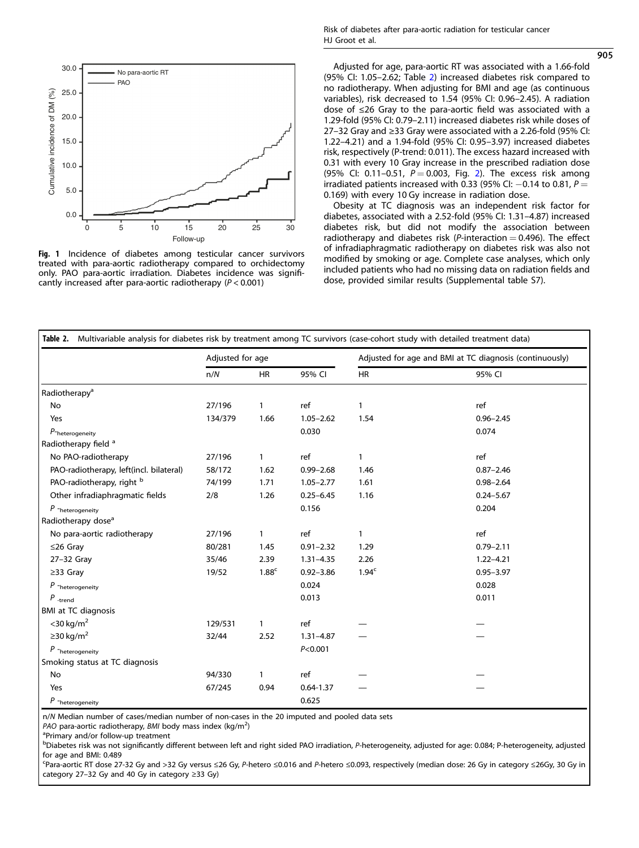<span id="page-4-0"></span>

Fig. 1 Incidence of diabetes among testicular cancer survivors treated with para-aortic radiotherapy compared to orchidectomy only. PAO para-aortic irradiation. Diabetes incidence was significantly increased after para-aortic radiotherapy  $(P < 0.001)$ 

Risk of diabetes after para-aortic radiation for testicular cancer HJ Groot et al.

905

Adjusted for age, para-aortic RT was associated with a 1.66-fold (95% CI: 1.05–2.62; Table 2) increased diabetes risk compared to no radiotherapy. When adjusting for BMI and age (as continuous variables), risk decreased to 1.54 (95% CI: 0.96–2.45). A radiation dose of ≤26 Gray to the para-aortic field was associated with a 1.29-fold (95% CI: 0.79–2.11) increased diabetes risk while doses of 27–32 Gray and ≥33 Gray were associated with a 2.26-fold (95% CI: 1.22–4.21) and a 1.94-fold (95% CI: 0.95–3.97) increased diabetes risk, respectively (P-trend: 0.011). The excess hazard increased with 0.31 with every 10 Gray increase in the prescribed radiation dose (95% CI: 0.11-0.51,  $P = 0.003$ , Fig. [2](#page-5-0)). The excess risk among irradiated patients increased with 0.33 (95% CI:  $-0.14$  to 0.81,  $P =$ 0.169) with every 10 Gy increase in radiation dose.

Obesity at TC diagnosis was an independent risk factor for diabetes, associated with a 2.52-fold (95% CI: 1.31–4.87) increased diabetes risk, but did not modify the association between radiotherapy and diabetes risk (*P*-interaction  $= 0.496$ ). The effect of infradiaphragmatic radiotherapy on diabetes risk was also not modified by smoking or age. Complete case analyses, which only included patients who had no missing data on radiation fields and dose, provided similar results (Supplemental table S7).

| Table 2. Multivariable analysis for diabetes risk by treatment among TC survivors (case-cohort study with detailed treatment data) |                  |                   |               |                                                         |               |  |
|------------------------------------------------------------------------------------------------------------------------------------|------------------|-------------------|---------------|---------------------------------------------------------|---------------|--|
|                                                                                                                                    | Adjusted for age |                   |               | Adjusted for age and BMI at TC diagnosis (continuously) |               |  |
|                                                                                                                                    | n/N              | <b>HR</b>         | 95% CI        | <b>HR</b>                                               | 95% CI        |  |
| Radiotherapy <sup>a</sup>                                                                                                          |                  |                   |               |                                                         |               |  |
| No                                                                                                                                 | 27/196           | $\mathbf{1}$      | ref           | 1                                                       | ref           |  |
| Yes                                                                                                                                | 134/379          | 1.66              | $1.05 - 2.62$ | 1.54                                                    | $0.96 - 2.45$ |  |
| P-heterogeneity                                                                                                                    |                  |                   | 0.030         |                                                         | 0.074         |  |
| Radiotherapy field <sup>a</sup>                                                                                                    |                  |                   |               |                                                         |               |  |
| No PAO-radiotherapy                                                                                                                | 27/196           | $\mathbf{1}$      | ref           | 1                                                       | ref           |  |
| PAO-radiotherapy, left(incl. bilateral)                                                                                            | 58/172           | 1.62              | $0.99 - 2.68$ | 1.46                                                    | $0.87 - 2.46$ |  |
| PAO-radiotherapy, right b                                                                                                          | 74/199           | 1.71              | $1.05 - 2.77$ | 1.61                                                    | $0.98 - 2.64$ |  |
| Other infradiaphragmatic fields                                                                                                    | 2/8              | 1.26              | $0.25 - 6.45$ | 1.16                                                    | $0.24 - 5.67$ |  |
| $P$ -heterogeneity                                                                                                                 |                  |                   | 0.156         |                                                         | 0.204         |  |
| Radiotherapy dose <sup>a</sup>                                                                                                     |                  |                   |               |                                                         |               |  |
| No para-aortic radiotherapy                                                                                                        | 27/196           | $\mathbf{1}$      | ref           | 1                                                       | ref           |  |
| $≤26$ Gray                                                                                                                         | 80/281           | 1.45              | $0.91 - 2.32$ | 1.29                                                    | $0.79 - 2.11$ |  |
| 27-32 Gray                                                                                                                         | 35/46            | 2.39              | $1.31 - 4.35$ | 2.26                                                    | $1.22 - 4.21$ |  |
| $\geq$ 33 Gray                                                                                                                     | 19/52            | 1.88 <sup>c</sup> | $0.92 - 3.86$ | 1.94 <sup>c</sup>                                       | $0.95 - 3.97$ |  |
| $P$ -heterogeneity                                                                                                                 |                  |                   | 0.024         |                                                         | 0.028         |  |
| $P$ -trend                                                                                                                         |                  |                   | 0.013         |                                                         | 0.011         |  |
| <b>BMI</b> at TC diagnosis                                                                                                         |                  |                   |               |                                                         |               |  |
| $<$ 30 kg/m <sup>2</sup>                                                                                                           | 129/531          | $\mathbf{1}$      | ref           |                                                         |               |  |
| $\geq$ 30 kg/m <sup>2</sup>                                                                                                        | 32/44            | 2.52              | $1.31 - 4.87$ |                                                         |               |  |
| $P$ -heterogeneity                                                                                                                 |                  |                   | P < 0.001     |                                                         |               |  |
| Smoking status at TC diagnosis                                                                                                     |                  |                   |               |                                                         |               |  |
| <b>No</b>                                                                                                                          | 94/330           | $\mathbf{1}$      | ref           |                                                         |               |  |
| Yes                                                                                                                                | 67/245           | 0.94              | $0.64 - 1.37$ |                                                         |               |  |
| $P$ -heterogeneity                                                                                                                 |                  |                   | 0.625         |                                                         |               |  |

n/N Median number of cases/median number of non-cases in the 20 imputed and pooled data sets

PAO para-aortic radiotherapy, BMI body mass index (kg/m<sup>2</sup>)<br><sup>ap</sup>rimary and/or follow-up troatment

aPrimary and/or follow-up treatment

bDiabetes risk was not significantly different between left and right sided PAO irradiation, P-heterogeneity, adjusted for age: 0.084; P-heterogeneity, adjusted for age and BMI: 0.489

c Para-aortic RT dose 27-32 Gy and >32 Gy versus ≤26 Gy, P-hetero ≤0.016 and P-hetero ≤0.093, respectively (median dose: 26 Gy in category ≤26Gy, 30 Gy in category 27–32 Gy and 40 Gy in category ≥33 Gy)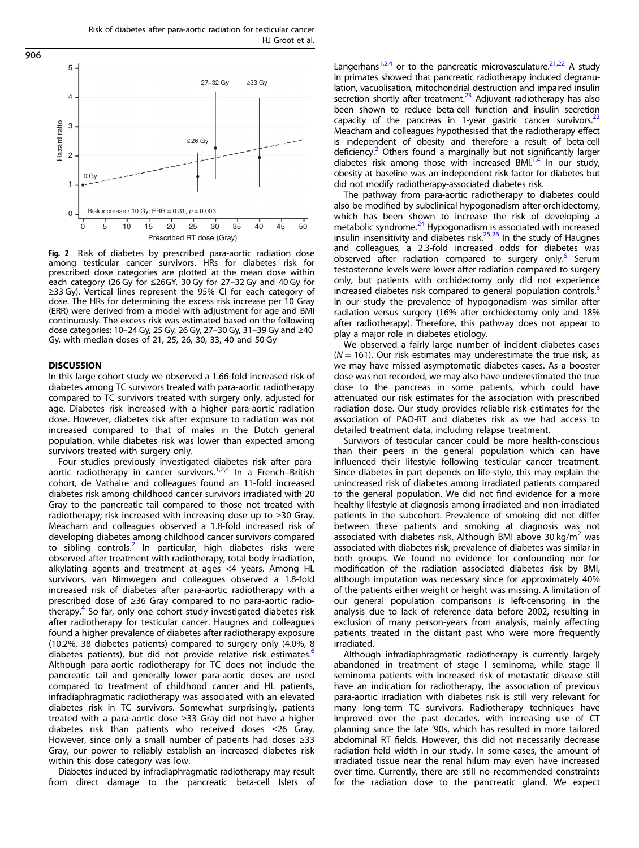Risk of diabetes after para-aortic radiation for testicular cancer HJ Groot et al.



Fig. 2 Risk of diabetes by prescribed para-aortic radiation dose among testicular cancer survivors. HRs for diabetes risk for prescribed dose categories are plotted at the mean dose within each category (26 Gy for ≤26GY, 30 Gy for 27–32 Gy and 40 Gy for ≥33 Gy). Vertical lines represent the 95% CI for each category of dose. The HRs for determining the excess risk increase per 10 Gray (ERR) were derived from a model with adjustment for age and BMI continuously. The excess risk was estimated based on the following dose categories: 10–24 Gy, 25 Gy, 26 Gy, 27–30 Gy, 31–39 Gy and ≥40 Gy, with median doses of 21, 25, 26, 30, 33, 40 and 50 Gy

## **DISCUSSION**

<span id="page-5-0"></span>906

In this large cohort study we observed a 1.66-fold increased risk of diabetes among TC survivors treated with para-aortic radiotherapy compared to TC survivors treated with surgery only, adjusted for age. Diabetes risk increased with a higher para-aortic radiation dose. However, diabetes risk after exposure to radiation was not increased compared to that of males in the Dutch general population, while diabetes risk was lower than expected among survivors treated with surgery only.

Four studies previously investigated diabetes risk after para-aortic radiotherapy in cancer survivors.<sup>[1](#page-6-0),[2,4](#page-6-0)</sup> In a French–British cohort, de Vathaire and colleagues found an 11-fold increased diabetes risk among childhood cancer survivors irradiated with 20 Gray to the pancreatic tail compared to those not treated with radiotherapy; risk increased with increasing dose up to ≥30 Gray. Meacham and colleagues observed a 1.8-fold increased risk of developing diabetes among childhood cancer survivors compared to sibling controls.<sup>[2](#page-6-0)</sup> In particular, high diabetes risks were observed after treatment with radiotherapy, total body irradiation, alkylating agents and treatment at ages <4 years. Among HL survivors, van Nimwegen and colleagues observed a 1.8-fold increased risk of diabetes after para-aortic radiotherapy with a prescribed dose of ≥36 Gray compared to no para-aortic radio-therapy.<sup>[4](#page-6-0)</sup> So far, only one cohort study investigated diabetes risk after radiotherapy for testicular cancer. Haugnes and colleagues found a higher prevalence of diabetes after radiotherapy exposure (10.2%, 38 diabetes patients) compared to surgery only (4.0%, 8 diabetes patients), but did not provide relative risk estimates.<sup>[6](#page-6-0)</sup> Although para-aortic radiotherapy for TC does not include the pancreatic tail and generally lower para-aortic doses are used compared to treatment of childhood cancer and HL patients, infradiaphragmatic radiotherapy was associated with an elevated diabetes risk in TC survivors. Somewhat surprisingly, patients treated with a para-aortic dose ≥33 Gray did not have a higher diabetes risk than patients who received doses ≤26 Gray. However, since only a small number of patients had doses ≥33 Gray, our power to reliably establish an increased diabetes risk within this dose category was low.

Diabetes induced by infradiaphragmatic radiotherapy may result from direct damage to the pancreatic beta-cell Islets of Langerhans<sup>1,2,4</sup> or to the pancreatic microvasculature.<sup>21,22</sup> A study in primates showed that pancreatic radiotherapy induced degranulation, vacuolisation, mitochondrial destruction and impaired insulin secretion shortly after treatment. $^{23}$  Adjuvant radiotherapy has also been shown to reduce beta-cell function and insulin secretion capacity of the pancreas in 1-year gastric cancer survivors.<sup>[22](#page-6-0)</sup> Meacham and colleagues hypothesised that the radiotherapy effect is independent of obesity and therefore a result of beta-cell deficiency.<sup>[2](#page-6-0)</sup> Others found a marginally but not significantly larger diabetes risk among those with increased BMI.<sup>1,4</sup> In our study, obesity at baseline was an independent risk factor for diabetes but did not modify radiotherapy-associated diabetes risk.

The pathway from para-aortic radiotherapy to diabetes could also be modified by subclinical hypogonadism after orchidectomy, which has been shown to increase the risk of developing a metabolic syndrome.<sup>24</sup> Hypogonadism is associated with increased insulin insensitivity and diabetes risk. $25,26$  $25,26$  In the study of Haugnes and colleagues, a 2.3-fold increased odds for diabetes was observed after radiation compared to surgery only.<sup>6</sup> Serum testosterone levels were lower after radiation compared to surgery only, but patients with orchidectomy only did not experience increased diabetes risk compared to general population controls.<sup>6</sup> In our study the prevalence of hypogonadism was similar after radiation versus surgery (16% after orchidectomy only and 18% after radiotherapy). Therefore, this pathway does not appear to play a major role in diabetes etiology.

We observed a fairly large number of incident diabetes cases  $(N = 161)$ . Our risk estimates may underestimate the true risk, as we may have missed asymptomatic diabetes cases. As a booster dose was not recorded, we may also have underestimated the true dose to the pancreas in some patients, which could have attenuated our risk estimates for the association with prescribed radiation dose. Our study provides reliable risk estimates for the association of PAO-RT and diabetes risk as we had access to detailed treatment data, including relapse treatment.

Survivors of testicular cancer could be more health-conscious than their peers in the general population which can have influenced their lifestyle following testicular cancer treatment. Since diabetes in part depends on life-style, this may explain the unincreased risk of diabetes among irradiated patients compared to the general population. We did not find evidence for a more healthy lifestyle at diagnosis among irradiated and non-irradiated patients in the subcohort. Prevalence of smoking did not differ between these patients and smoking at diagnosis was not associated with diabetes risk. Although BMI above 30 kg/ $m^2$  was associated with diabetes risk, prevalence of diabetes was similar in both groups. We found no evidence for confounding nor for modification of the radiation associated diabetes risk by BMI, although imputation was necessary since for approximately 40% of the patients either weight or height was missing. A limitation of our general population comparisons is left-censoring in the analysis due to lack of reference data before 2002, resulting in exclusion of many person-years from analysis, mainly affecting patients treated in the distant past who were more frequently irradiated.

Although infradiaphragmatic radiotherapy is currently largely abandoned in treatment of stage I seminoma, while stage II seminoma patients with increased risk of metastatic disease still have an indication for radiotherapy, the association of previous para-aortic irradiation with diabetes risk is still very relevant for many long-term TC survivors. Radiotherapy techniques have improved over the past decades, with increasing use of CT planning since the late '90s, which has resulted in more tailored abdominal RT fields. However, this did not necessarily decrease radiation field width in our study. In some cases, the amount of irradiated tissue near the renal hilum may even have increased over time. Currently, there are still no recommended constraints for the radiation dose to the pancreatic gland. We expect